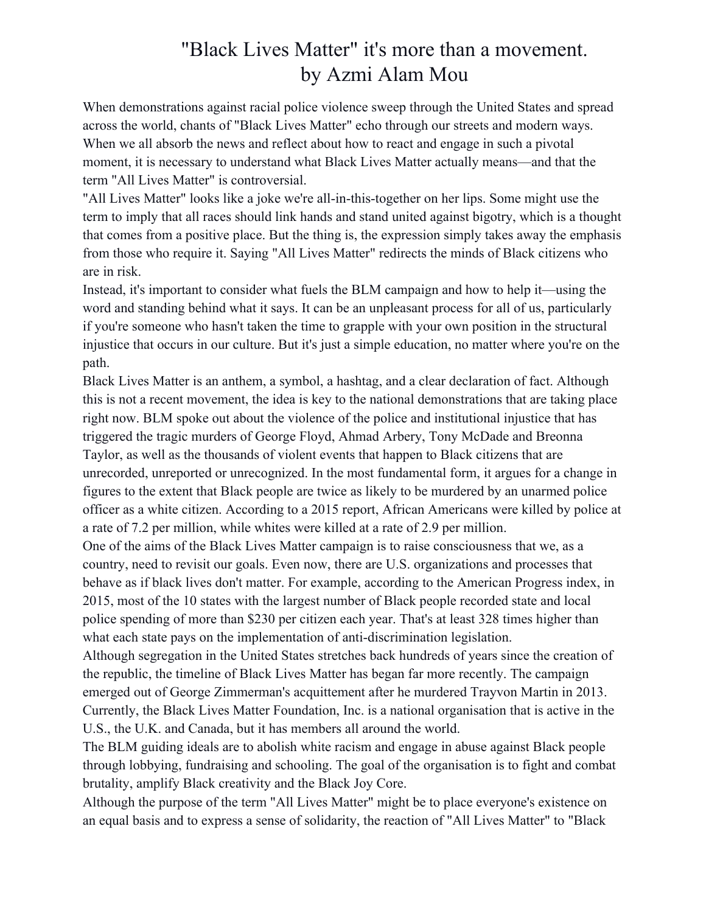## "Black Lives Matter" it's more than a movement. by Azmi Alam Mou

When demonstrations against racial police violence sweep through the United States and spread across the world, chants of "Black Lives Matter" echo through our streets and modern ways. When we all absorb the news and reflect about how to react and engage in such a pivotal moment, it is necessary to understand what Black Lives Matter actually means—and that the term "All Lives Matter" is controversial.

"All Lives Matter" looks like a joke we're all-in-this-together on her lips. Some might use the term to imply that all races should link hands and stand united against bigotry, which is a thought that comes from a positive place. But the thing is, the expression simply takes away the emphasis from those who require it. Saying "All Lives Matter" redirects the minds of Black citizens who are in risk.

Instead, it's important to consider what fuels the BLM campaign and how to help it—using the word and standing behind what it says. It can be an unpleasant process for all of us, particularly if you're someone who hasn't taken the time to grapple with your own position in the structural injustice that occurs in our culture. But it's just a simple education, no matter where you're on the path.

Black Lives Matter is an anthem, a symbol, a hashtag, and a clear declaration of fact. Although this is not a recent movement, the idea is key to the national demonstrations that are taking place right now. BLM spoke out about the violence of the police and institutional injustice that has triggered the tragic murders of George Floyd, Ahmad Arbery, Tony McDade and Breonna Taylor, as well as the thousands of violent events that happen to Black citizens that are unrecorded, unreported or unrecognized. In the most fundamental form, it argues for a change in figures to the extent that Black people are twice as likely to be murdered by an unarmed police officer as a white citizen. According to a 2015 report, African Americans were killed by police at a rate of 7.2 per million, while whites were killed at a rate of 2.9 per million.

One of the aims of the Black Lives Matter campaign is to raise consciousness that we, as a country, need to revisit our goals. Even now, there are U.S. organizations and processes that behave as if black lives don't matter. For example, according to the American Progress index, in 2015, most of the 10 states with the largest number of Black people recorded state and local police spending of more than \$230 per citizen each year. That's at least 328 times higher than what each state pays on the implementation of anti-discrimination legislation.

Although segregation in the United States stretches back hundreds of years since the creation of the republic, the timeline of Black Lives Matter has began far more recently. The campaign emerged out of George Zimmerman's acquittement after he murdered Trayvon Martin in 2013. Currently, the Black Lives Matter Foundation, Inc. is a national organisation that is active in the U.S., the U.K. and Canada, but it has members all around the world.

The BLM guiding ideals are to abolish white racism and engage in abuse against Black people through lobbying, fundraising and schooling. The goal of the organisation is to fight and combat brutality, amplify Black creativity and the Black Joy Core.

Although the purpose of the term "All Lives Matter" might be to place everyone's existence on an equal basis and to express a sense of solidarity, the reaction of "All Lives Matter" to "Black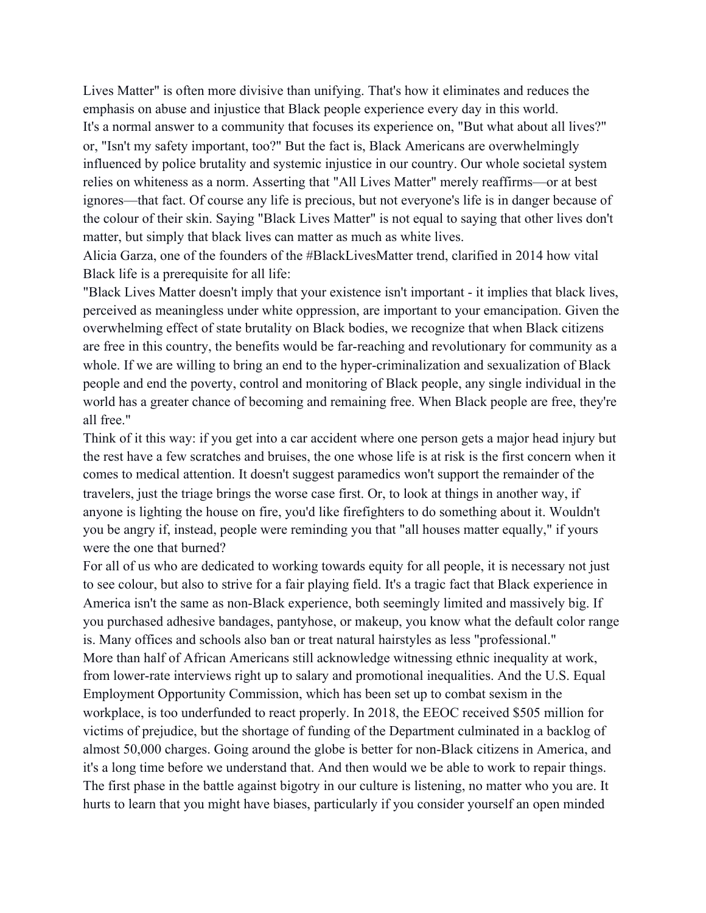Lives Matter" is often more divisive than unifying. That's how it eliminates and reduces the emphasis on abuse and injustice that Black people experience every day in this world. It's a normal answer to a community that focuses its experience on, "But what about all lives?" or, "Isn't my safety important, too?" But the fact is, Black Americans are overwhelmingly influenced by police brutality and systemic injustice in our country. Our whole societal system relies on whiteness as a norm. Asserting that "All Lives Matter" merely reaffirms—or at best ignores—that fact. Of course any life is precious, but not everyone's life is in danger because of the colour of their skin. Saying "Black Lives Matter" is not equal to saying that other lives don't matter, but simply that black lives can matter as much as white lives.

Alicia Garza, one of the founders of the #BlackLivesMatter trend, clarified in 2014 how vital Black life is a prerequisite for all life:

"Black Lives Matter doesn't imply that your existence isn't important - it implies that black lives, perceived as meaningless under white oppression, are important to your emancipation. Given the overwhelming effect of state brutality on Black bodies, we recognize that when Black citizens are free in this country, the benefits would be far-reaching and revolutionary for community as a whole. If we are willing to bring an end to the hyper-criminalization and sexualization of Black people and end the poverty, control and monitoring of Black people, any single individual in the world has a greater chance of becoming and remaining free. When Black people are free, they're all free."

Think of it this way: if you get into a car accident where one person gets a major head injury but the rest have a few scratches and bruises, the one whose life is at risk is the first concern when it comes to medical attention. It doesn't suggest paramedics won't support the remainder of the travelers, just the triage brings the worse case first. Or, to look at things in another way, if anyone is lighting the house on fire, you'd like firefighters to do something about it. Wouldn't you be angry if, instead, people were reminding you that "all houses matter equally," if yours were the one that burned?

For all of us who are dedicated to working towards equity for all people, it is necessary not just to see colour, but also to strive for a fair playing field. It's a tragic fact that Black experience in America isn't the same as non-Black experience, both seemingly limited and massively big. If you purchased adhesive bandages, pantyhose, or makeup, you know what the default color range is. Many offices and schools also ban or treat natural hairstyles as less "professional." More than half of African Americans still acknowledge witnessing ethnic inequality at work, from lower-rate interviews right up to salary and promotional inequalities. And the U.S. Equal Employment Opportunity Commission, which has been set up to combat sexism in the workplace, is too underfunded to react properly. In 2018, the EEOC received \$505 million for victims of prejudice, but the shortage of funding of the Department culminated in a backlog of almost 50,000 charges. Going around the globe is better for non-Black citizens in America, and it's a long time before we understand that. And then would we be able to work to repair things. The first phase in the battle against bigotry in our culture is listening, no matter who you are. It hurts to learn that you might have biases, particularly if you consider yourself an open minded